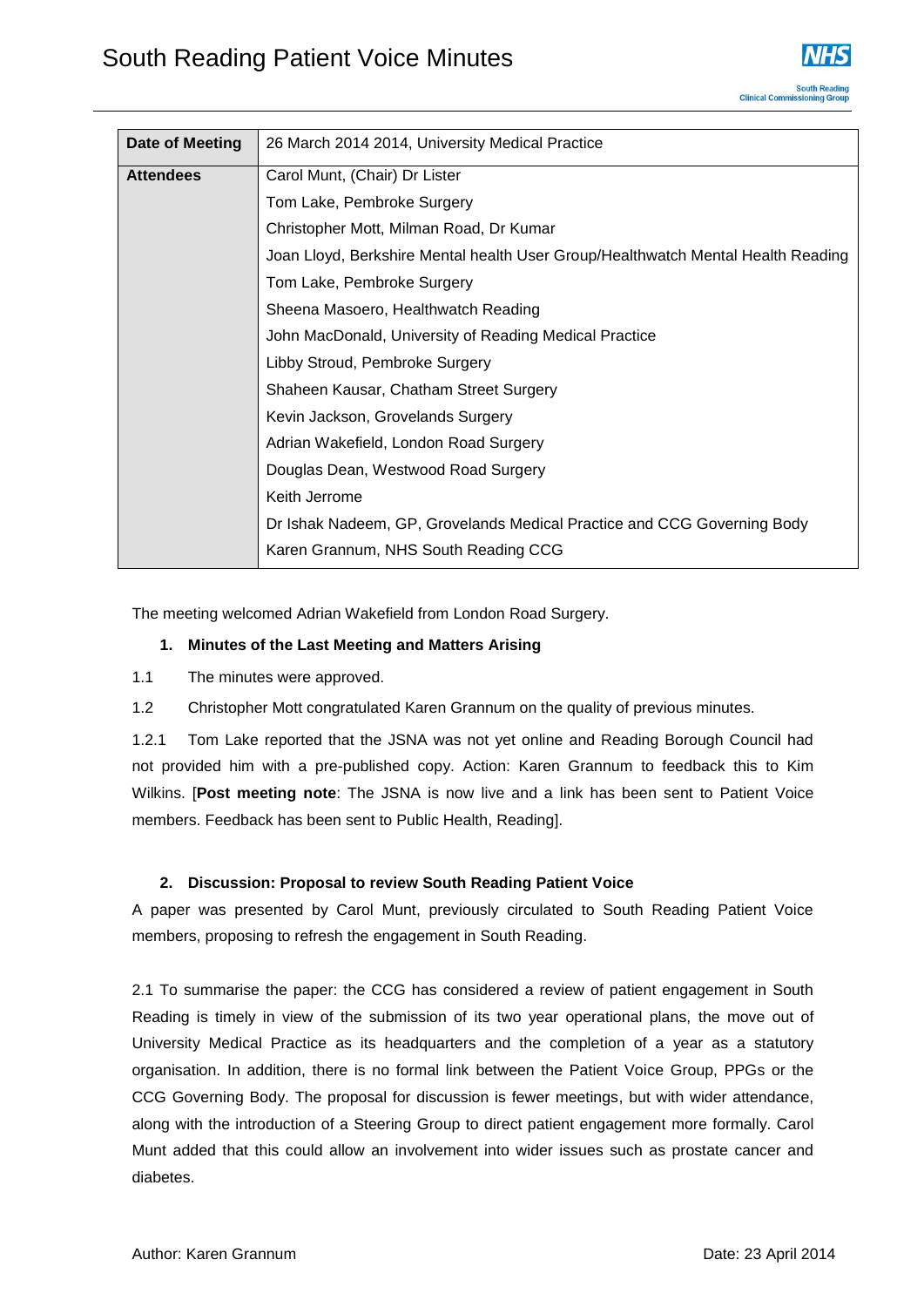| Date of Meeting  | 26 March 2014 2014, University Medical Practice                                  |
|------------------|----------------------------------------------------------------------------------|
| <b>Attendees</b> | Carol Munt, (Chair) Dr Lister                                                    |
|                  | Tom Lake, Pembroke Surgery                                                       |
|                  | Christopher Mott, Milman Road, Dr Kumar                                          |
|                  | Joan Lloyd, Berkshire Mental health User Group/Healthwatch Mental Health Reading |
|                  | Tom Lake, Pembroke Surgery                                                       |
|                  | Sheena Masoero, Healthwatch Reading                                              |
|                  | John MacDonald, University of Reading Medical Practice                           |
|                  | Libby Stroud, Pembroke Surgery                                                   |
|                  | Shaheen Kausar, Chatham Street Surgery                                           |
|                  | Kevin Jackson, Grovelands Surgery                                                |
|                  | Adrian Wakefield, London Road Surgery                                            |
|                  | Douglas Dean, Westwood Road Surgery                                              |
|                  | Keith Jerrome                                                                    |
|                  | Dr Ishak Nadeem, GP, Grovelands Medical Practice and CCG Governing Body          |
|                  | Karen Grannum, NHS South Reading CCG                                             |

The meeting welcomed Adrian Wakefield from London Road Surgery.

## **1. Minutes of the Last Meeting and Matters Arising**

- 1.1 The minutes were approved.
- 1.2 Christopher Mott congratulated Karen Grannum on the quality of previous minutes.

1.2.1 Tom Lake reported that the JSNA was not yet online and Reading Borough Council had not provided him with a pre-published copy. Action: Karen Grannum to feedback this to Kim Wilkins. [**Post meeting note**: The JSNA is now live and a link has been sent to Patient Voice members. Feedback has been sent to Public Health, Reading].

## **2. Discussion: Proposal to review South Reading Patient Voice**

A paper was presented by Carol Munt, previously circulated to South Reading Patient Voice members, proposing to refresh the engagement in South Reading.

2.1 To summarise the paper: the CCG has considered a review of patient engagement in South Reading is timely in view of the submission of its two year operational plans, the move out of University Medical Practice as its headquarters and the completion of a year as a statutory organisation. In addition, there is no formal link between the Patient Voice Group, PPGs or the CCG Governing Body. The proposal for discussion is fewer meetings, but with wider attendance, along with the introduction of a Steering Group to direct patient engagement more formally. Carol Munt added that this could allow an involvement into wider issues such as prostate cancer and diabetes.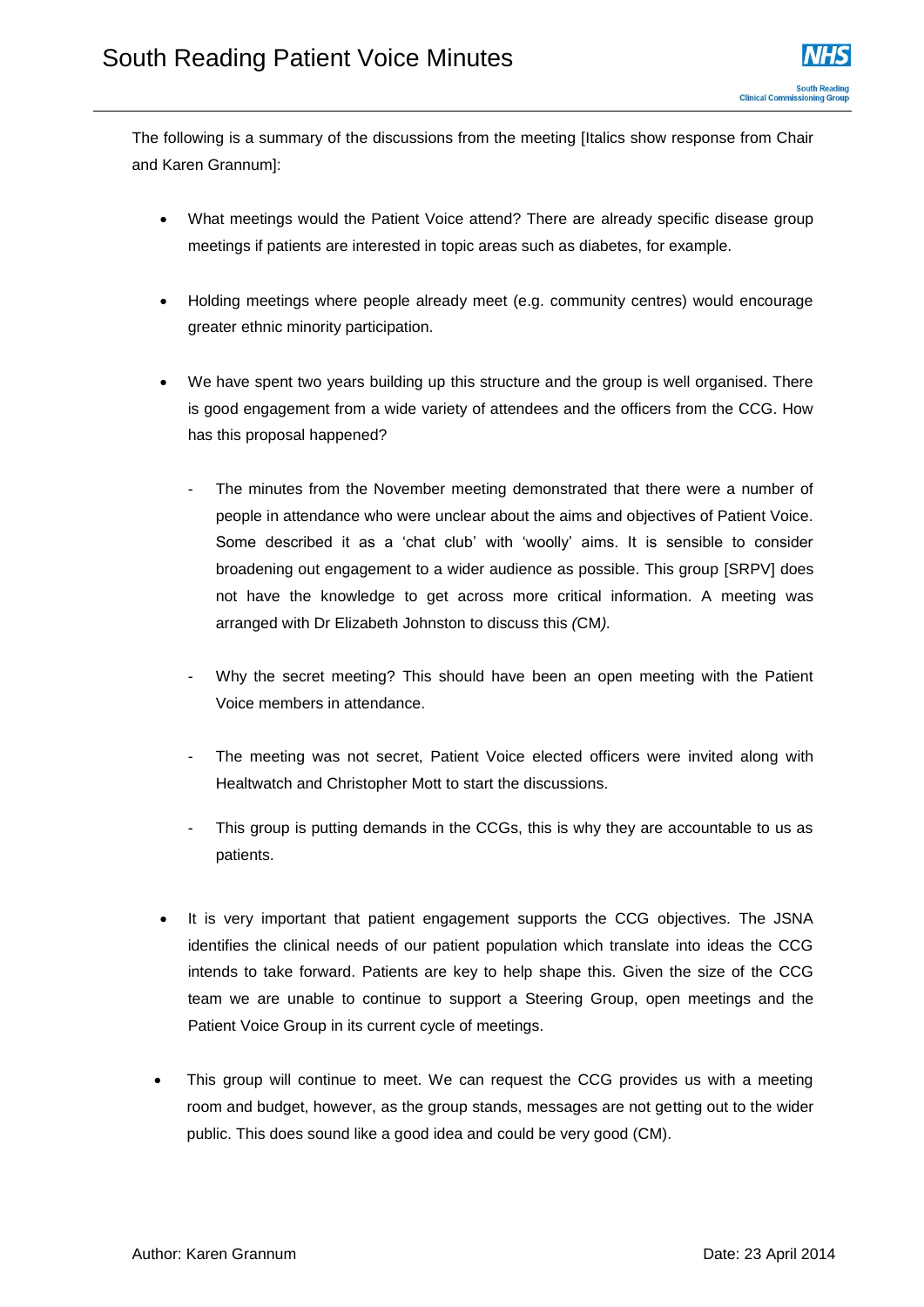The following is a summary of the discussions from the meeting [Italics show response from Chair and Karen Grannum]:

- What meetings would the Patient Voice attend? There are already specific disease group meetings if patients are interested in topic areas such as diabetes, for example.
- Holding meetings where people already meet (e.g. community centres) would encourage greater ethnic minority participation.
- We have spent two years building up this structure and the group is well organised. There is good engagement from a wide variety of attendees and the officers from the CCG. How has this proposal happened?
	- The minutes from the November meeting demonstrated that there were a number of people in attendance who were unclear about the aims and objectives of Patient Voice. Some described it as a 'chat club' with 'woolly' aims. It is sensible to consider broadening out engagement to a wider audience as possible. This group [SRPV] does not have the knowledge to get across more critical information. A meeting was arranged with Dr Elizabeth Johnston to discuss this *(*CM*).*
	- Why the secret meeting? This should have been an open meeting with the Patient Voice members in attendance.
	- The meeting was not secret, Patient Voice elected officers were invited along with Healtwatch and Christopher Mott to start the discussions.
	- This group is putting demands in the CCGs, this is why they are accountable to us as patients.
- It is very important that patient engagement supports the CCG objectives. The JSNA identifies the clinical needs of our patient population which translate into ideas the CCG intends to take forward. Patients are key to help shape this. Given the size of the CCG team we are unable to continue to support a Steering Group, open meetings and the Patient Voice Group in its current cycle of meetings.
- This group will continue to meet. We can request the CCG provides us with a meeting room and budget, however, as the group stands, messages are not getting out to the wider public. This does sound like a good idea and could be very good (CM).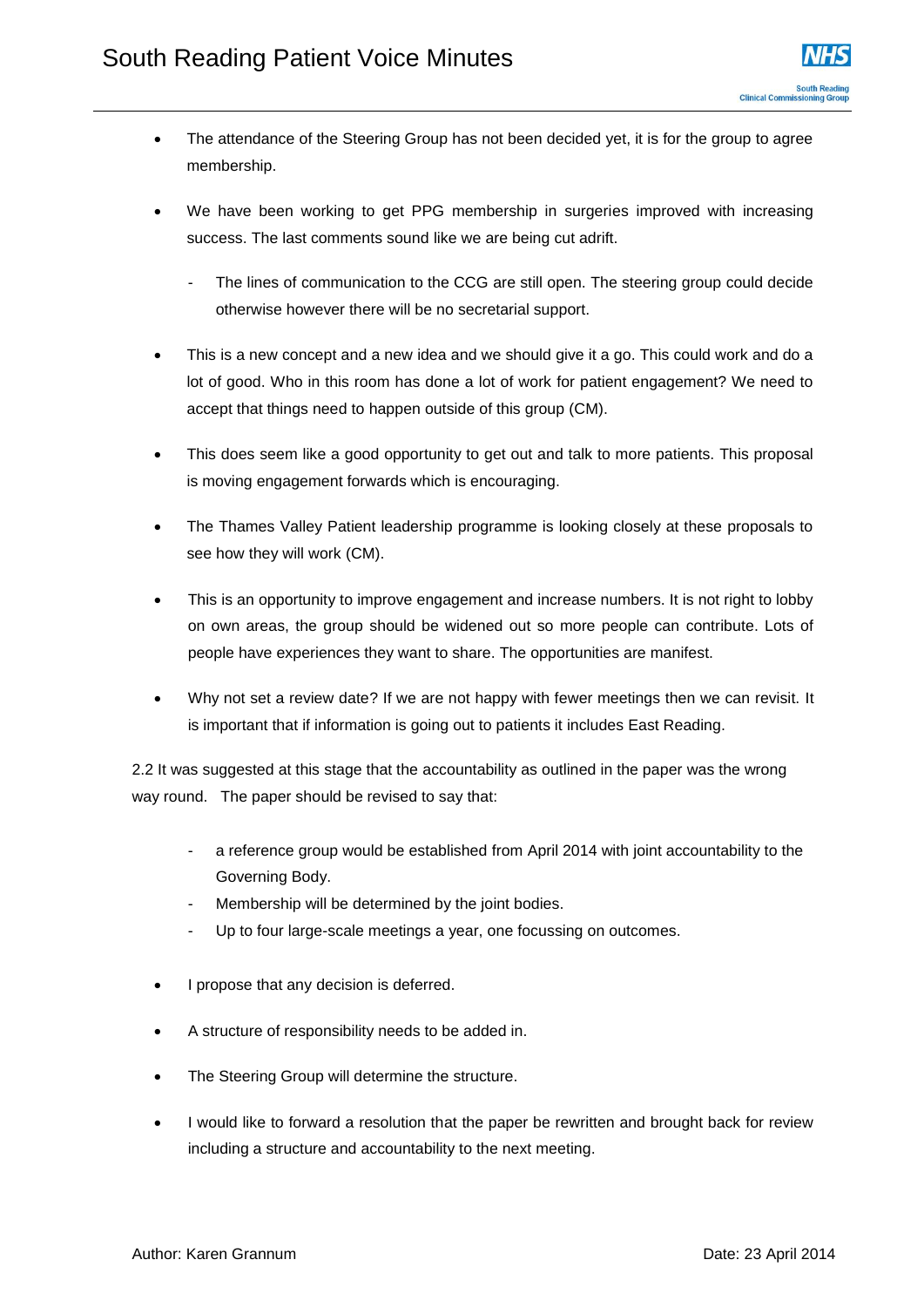- The attendance of the Steering Group has not been decided yet, it is for the group to agree membership.
- We have been working to get PPG membership in surgeries improved with increasing success. The last comments sound like we are being cut adrift.
	- The lines of communication to the CCG are still open. The steering group could decide otherwise however there will be no secretarial support.
- This is a new concept and a new idea and we should give it a go. This could work and do a lot of good. Who in this room has done a lot of work for patient engagement? We need to accept that things need to happen outside of this group (CM).
- This does seem like a good opportunity to get out and talk to more patients. This proposal is moving engagement forwards which is encouraging.
- The Thames Valley Patient leadership programme is looking closely at these proposals to see how they will work (CM).
- This is an opportunity to improve engagement and increase numbers. It is not right to lobby on own areas, the group should be widened out so more people can contribute. Lots of people have experiences they want to share. The opportunities are manifest.
- Why not set a review date? If we are not happy with fewer meetings then we can revisit. It is important that if information is going out to patients it includes East Reading.

2.2 It was suggested at this stage that the accountability as outlined in the paper was the wrong way round. The paper should be revised to say that:

- a reference group would be established from April 2014 with joint accountability to the Governing Body.
- Membership will be determined by the joint bodies.
- Up to four large-scale meetings a year, one focussing on outcomes.
- I propose that any decision is deferred.
- A structure of responsibility needs to be added in.
- The Steering Group will determine the structure.
- I would like to forward a resolution that the paper be rewritten and brought back for review including a structure and accountability to the next meeting.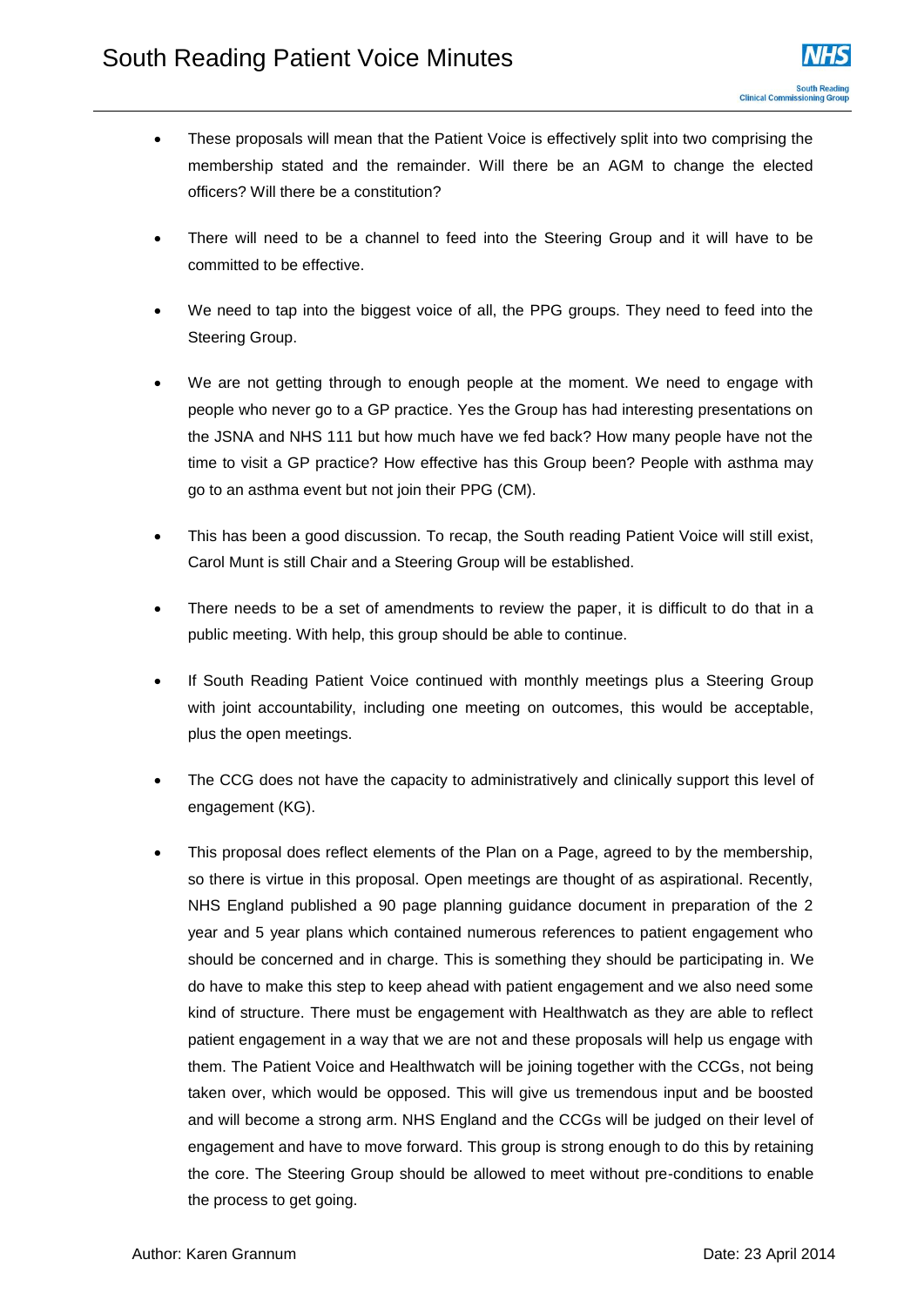- These proposals will mean that the Patient Voice is effectively split into two comprising the membership stated and the remainder. Will there be an AGM to change the elected officers? Will there be a constitution?
- There will need to be a channel to feed into the Steering Group and it will have to be committed to be effective.
- We need to tap into the biggest voice of all, the PPG groups. They need to feed into the Steering Group.
- We are not getting through to enough people at the moment. We need to engage with people who never go to a GP practice. Yes the Group has had interesting presentations on the JSNA and NHS 111 but how much have we fed back? How many people have not the time to visit a GP practice? How effective has this Group been? People with asthma may go to an asthma event but not join their PPG (CM).
- This has been a good discussion. To recap, the South reading Patient Voice will still exist, Carol Munt is still Chair and a Steering Group will be established.
- There needs to be a set of amendments to review the paper, it is difficult to do that in a public meeting. With help, this group should be able to continue.
- If South Reading Patient Voice continued with monthly meetings plus a Steering Group with joint accountability, including one meeting on outcomes, this would be acceptable, plus the open meetings.
- The CCG does not have the capacity to administratively and clinically support this level of engagement (KG).
- This proposal does reflect elements of the Plan on a Page, agreed to by the membership, so there is virtue in this proposal. Open meetings are thought of as aspirational. Recently, NHS England published a 90 page planning guidance document in preparation of the 2 year and 5 year plans which contained numerous references to patient engagement who should be concerned and in charge. This is something they should be participating in. We do have to make this step to keep ahead with patient engagement and we also need some kind of structure. There must be engagement with Healthwatch as they are able to reflect patient engagement in a way that we are not and these proposals will help us engage with them. The Patient Voice and Healthwatch will be joining together with the CCGs, not being taken over, which would be opposed. This will give us tremendous input and be boosted and will become a strong arm. NHS England and the CCGs will be judged on their level of engagement and have to move forward. This group is strong enough to do this by retaining the core. The Steering Group should be allowed to meet without pre-conditions to enable the process to get going.